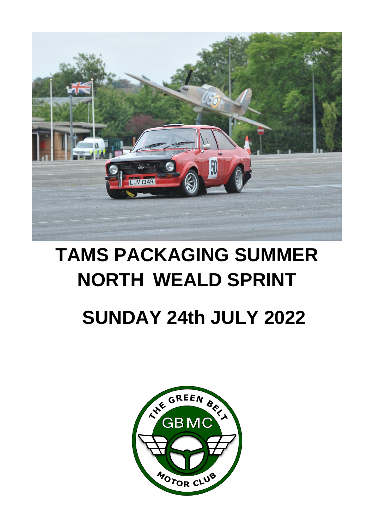

# **TAMS PACKAGING SUMMER NORTH WEALD SPRINT**

# **SUNDAY 24th JULY 2022**

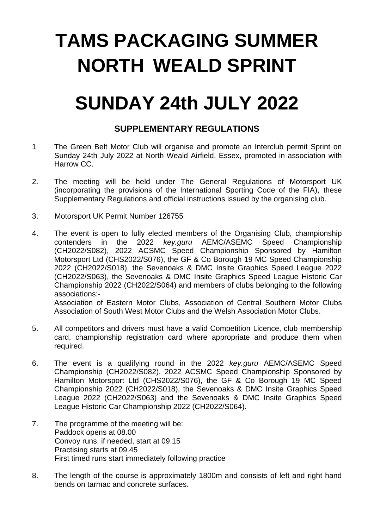# **TAMS PACKAGING SUMMER NORTH WEALD SPRINT**

## **SUNDAY 24th JULY 2022**

### **SUPPLEMENTARY REGULATIONS**

- 1 The Green Belt Motor Club will organise and promote an Interclub permit Sprint on Sunday 24th July 2022 at North Weald Airfield, Essex, promoted in association with Harrow CC.
- 2. The meeting will be held under The General Regulations of Motorsport UK (incorporating the provisions of the International Sporting Code of the FIA), these Supplementary Regulations and official instructions issued by the organising club.
- 3. Motorsport UK Permit Number 126755
- 4. The event is open to fully elected members of the Organising Club, championship contenders in the 2022 *key.guru* AEMC/ASEMC Speed Championship (CH2022/S082), 2022 ACSMC Speed Championship Sponsored by Hamilton Motorsport Ltd (CHS2022/S076), the GF & Co Borough 19 MC Speed Championship 2022 (CH2022/S018), the Sevenoaks & DMC Insite Graphics Speed League 2022 (CH2022/S063), the Sevenoaks & DMC Insite Graphics Speed League Historic Car Championship 2022 (CH2022/S064) and members of clubs belonging to the following associations:- Association of Eastern Motor Clubs, Association of Central Southern Motor Clubs Association of South West Motor Clubs and the Welsh Association Motor Clubs.
- 5. All competitors and drivers must have a valid Competition Licence, club membership card, championship registration card where appropriate and produce them when required.
- 6. The event is a qualifying round in the 2022 *key.guru* AEMC/ASEMC Speed Championship (CH2022/S082), 2022 ACSMC Speed Championship Sponsored by Hamilton Motorsport Ltd (CHS2022/S076), the GF & Co Borough 19 MC Speed Championship 2022 (CH2022/S018), the Sevenoaks & DMC Insite Graphics Speed League 2022 (CH2022/S063) and the Sevenoaks & DMC Insite Graphics Speed League Historic Car Championship 2022 (CH2022/S064).
- 7. The programme of the meeting will be: Paddock opens at 08.00 Convoy runs, if needed, start at 09.15 Practising starts at 09.45 First timed runs start immediately following practice
- 8. The length of the course is approximately 1800m and consists of left and right hand bends on tarmac and concrete surfaces.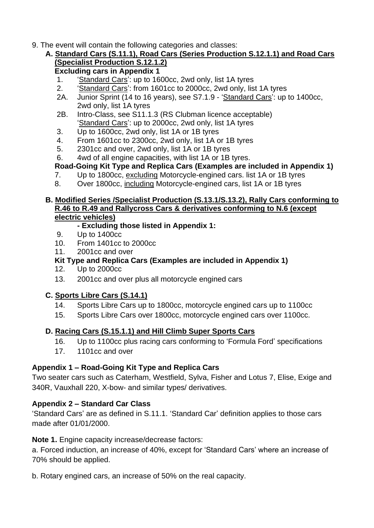9. The event will contain the following categories and classes:

#### **A. Standard Cars (S.11.1), Road Cars (Series Production S.12.1.1) and Road Cars (Specialist Production S.12.1.2)**

**Excluding cars in Appendix 1**

- 1. 'Standard Cars': up to 1600cc, 2wd only, list 1A tyres
- 2. 'Standard Cars': from 1601cc to 2000cc, 2wd only, list 1A tyres
- 2A. Junior Sprint (14 to 16 years), see S7.1.9 'Standard Cars': up to 1400cc, 2wd only, list 1A tyres
- 2B. Intro-Class, see S11.1.3 (RS Clubman licence acceptable) 'Standard Cars': up to 2000cc, 2wd only, list 1A tyres
- 3. Up to 1600cc, 2wd only, list 1A or 1B tyres
- 4. From 1601cc to 2300cc, 2wd only, list 1A or 1B tyres
- 5. 2301cc and over, 2wd only, list 1A or 1B tyres
- 6. 4wd of all engine capacities, with list 1A or 1B tyres.

**Road-Going Kit Type and Replica Cars (Examples are included in Appendix 1)**

- 7. Up to 1800cc, excluding Motorcycle-engined cars. list 1A or 1B tyres
- 8. Over 1800cc, including Motorcycle-engined cars, list 1A or 1B tyres

#### **B. Modified Series /Specialist Production (S.13.1/S.13.2), Rally Cars conforming to R.46 to R.49 and Rallycross Cars & derivatives conforming to N.6 (except electric vehicles)**

#### **- Excluding those listed in Appendix 1:**

- 9. Up to 1400cc
- 10. From 1401cc to 2000cc
- 11. 2001cc and over

#### **Kit Type and Replica Cars (Examples are included in Appendix 1)**

- 12. Up to 2000cc
- 13. 2001cc and over plus all motorcycle engined cars

#### **C. Sports Libre Cars (S.14.1)**

- 14. Sports Libre Cars up to 1800cc, motorcycle engined cars up to 1100cc
- 15. Sports Libre Cars over 1800cc, motorcycle engined cars over 1100cc.

#### **D. Racing Cars (S.15.1.1) and Hill Climb Super Sports Cars**

- 16. Up to 1100cc plus racing cars conforming to 'Formula Ford' specifications
- 17. 1101cc and over

#### **Appendix 1 – Road-Going Kit Type and Replica Cars**

Two seater cars such as Caterham, Westfield, Sylva, Fisher and Lotus 7, Elise, Exige and 340R, Vauxhall 220, X-bow- and similar types/ derivatives.

#### **Appendix 2 – Standard Car Class**

'Standard Cars' are as defined in S.11.1. 'Standard Car' definition applies to those cars made after 01/01/2000.

#### **Note 1.** Engine capacity increase/decrease factors:

a. Forced induction, an increase of 40%, except for 'Standard Cars' where an increase of 70% should be applied.

b. Rotary engined cars, an increase of 50% on the real capacity.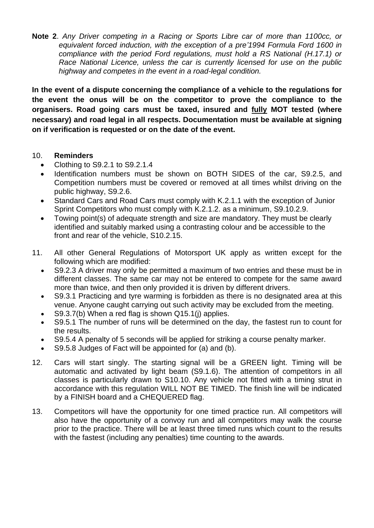**Note 2**. *Any Driver competing in a Racing or Sports Libre car of more than 1100cc, or equivalent forced induction, with the exception of a pre'1994 Formula Ford 1600 in compliance with the period Ford regulations, must hold a RS National (H.17.1) or Race National Licence, unless the car is currently licensed for use on the public highway and competes in the event in a road-legal condition.*

**In the event of a dispute concerning the compliance of a vehicle to the regulations for the event the onus will be on the competitor to prove the compliance to the organisers. Road going cars must be taxed, insured and fully MOT tested (where necessary) and road legal in all respects. Documentation must be available at signing on if verification is requested or on the date of the event.**

#### 10. **Reminders**

- Clothing to S9.2.1 to S9.2.1.4
- Identification numbers must be shown on BOTH SIDES of the car, S9.2.5, and Competition numbers must be covered or removed at all times whilst driving on the public highway, S9.2.6.
- Standard Cars and Road Cars must comply with K.2.1.1 with the exception of Junior Sprint Competitors who must comply with K.2.1.2. as a minimum, S9.10.2.9.
- Towing point(s) of adequate strength and size are mandatory. They must be clearly identified and suitably marked using a contrasting colour and be accessible to the front and rear of the vehicle, S10.2.15.
- 11. All other General Regulations of Motorsport UK apply as written except for the following which are modified:
	- S9.2.3 A driver may only be permitted a maximum of two entries and these must be in different classes. The same car may not be entered to compete for the same award more than twice, and then only provided it is driven by different drivers.
	- S9.3.1 Practicing and tyre warming is forbidden as there is no designated area at this venue. Anyone caught carrying out such activity may be excluded from the meeting.
	- S9.3.7(b) When a red flag is shown Q15.1(j) applies.
	- S9.5.1 The number of runs will be determined on the day, the fastest run to count for the results.
	- S9.5.4 A penalty of 5 seconds will be applied for striking a course penalty marker.
	- S9.5.8 Judges of Fact will be appointed for (a) and (b).
- 12. Cars will start singly. The starting signal will be a GREEN light. Timing will be automatic and activated by light beam (S9.1.6). The attention of competitors in all classes is particularly drawn to S10.10. Any vehicle not fitted with a timing strut in accordance with this regulation WILL NOT BE TIMED. The finish line will be indicated by a FINISH board and a CHEQUERED flag.
- 13. Competitors will have the opportunity for one timed practice run. All competitors will also have the opportunity of a convoy run and all competitors may walk the course prior to the practice. There will be at least three timed runs which count to the results with the fastest (including any penalties) time counting to the awards.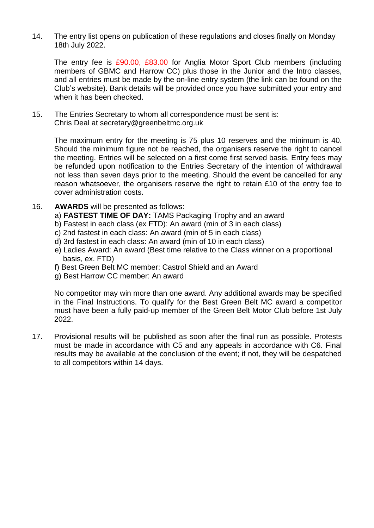14. The entry list opens on publication of these regulations and closes finally on Monday 18th July 2022.

The entry fee is £90.00, £83.00 for Anglia Motor Sport Club members (including members of GBMC and Harrow CC) plus those in the Junior and the Intro classes, and all entries must be made by the on-line entry system (the link can be found on the Club's website). Bank details will be provided once you have submitted your entry and when it has been checked.

15. The Entries Secretary to whom all correspondence must be sent is: Chris Deal at secretary@greenbeltmc.org.uk

The maximum entry for the meeting is 75 plus 10 reserves and the minimum is 40. Should the minimum figure not be reached, the organisers reserve the right to cancel the meeting. Entries will be selected on a first come first served basis. Entry fees may be refunded upon notification to the Entries Secretary of the intention of withdrawal not less than seven days prior to the meeting. Should the event be cancelled for any reason whatsoever, the organisers reserve the right to retain £10 of the entry fee to cover administration costs.

- 16. **AWARDS** will be presented as follows:
	- a) **FASTEST TIME OF DAY:** TAMS Packaging Trophy and an award
	- b) Fastest in each class (ex FTD): An award (min of 3 in each class)
	- c) 2nd fastest in each class: An award (min of 5 in each class)
	- d) 3rd fastest in each class: An award (min of 10 in each class)
	- e) Ladies Award: An award (Best time relative to the Class winner on a proportional basis, ex. FTD)
	- f) Best Green Belt MC member: Castrol Shield and an Award
	- g) Best Harrow CC member: An award

No competitor may win more than one award. Any additional awards may be specified in the Final Instructions. To qualify for the Best Green Belt MC award a competitor must have been a fully paid-up member of the Green Belt Motor Club before 1st July 2022.

17. Provisional results will be published as soon after the final run as possible. Protests must be made in accordance with C5 and any appeals in accordance with C6. Final results may be available at the conclusion of the event; if not, they will be despatched to all competitors within 14 days.